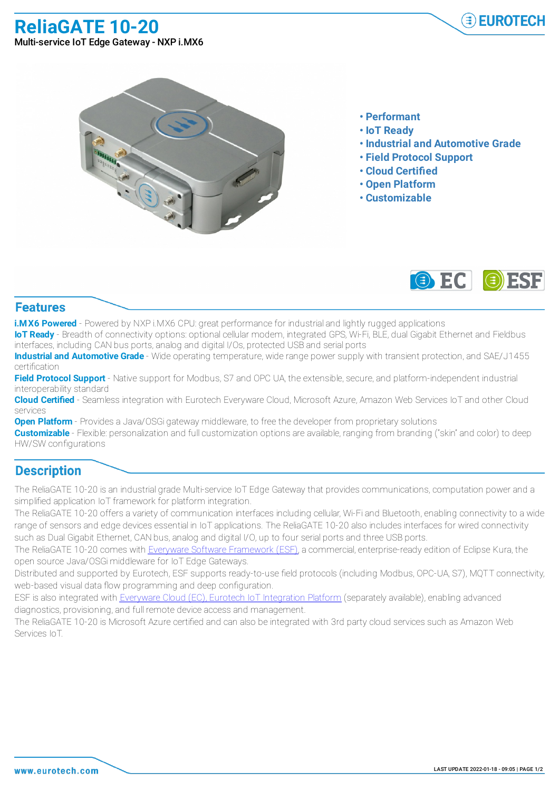**ReliaGATE 10-20**



Multi-service IoT Edge Gateway - NXP i.MX6



- **• Performant**
- **• IoT Ready**
- **• Industrial and Automotive Grade**
- **• Field Protocol Support**
- **• Cloud Certified**
- **• Open Platform**
- **• Customizable**



## **Features**

**i.MX6 Powered** - Powered by NXP i.MX6 CPU: great performance for industrial and lightly rugged applications

**IoT Ready** - Breadth of connectivity options: optional cellular modem, integrated GPS, Wi-Fi, BLE, dual Gigabit Ethernet and Fieldbus interfaces, including CAN bus ports, analog and digital I/Os, protected USB and serial ports

**Industrial and Automotive Grade** - Wide operating temperature, wide range power supply with transient protection, and SAE/J1455 certification

**Field Protocol Support** - Native support for Modbus, S7 and OPC UA, the extensible, secure, and platform-independent industrial interoperability standard

**Cloud Certified** - Seamless integration with Eurotech Everyware Cloud, Microsoft Azure, Amazon Web Services IoT and other Cloud services

**Open Platform** - Provides a Java/OSGi gateway middleware, to free the developer from proprietary solutions

**Customizable** - Flexible: personalization and full customization options are available, ranging from branding ("skin" and color) to deep HW/SW configurations

## **Description**

The ReliaGATE 10-20 is an industrial grade Multi-service IoT Edge Gateway that provides communications, computation power and a simplified application IoT framework for platform integration.

The ReliaGATE 10-20 offers a variety of communication interfaces including cellular, Wi-Fi and Bluetooth, enabling connectivity to a wide range of sensors and edge devices essential in IoT applications. The ReliaGATE 10-20 also includes interfaces for wired connectivity such as Dual Gigabit Ethernet, CAN bus, analog and digital I/O, up to four serial ports and three USB ports.

The ReliaGATE 10-20 comes with Everyware Software Framework (ESF), a commercial, enterprise-ready edition of Eclipse Kura, the open source Java/OSGi middleware for IoT Edge Gateways.

Distributed and supported by Eurotech, ESF supports ready-to-use field protocols (including Modbus, OPC-UA, S7), MQTT connectivity, web-based visual data flow programming and deep configuration.

ESF is also integrated with Everyware Cloud (EC), Eurotech IoT Integration Platform (separately available), enabling advanced diagnostics, provisioning, and full remote device access and management.

The ReliaGATE 10-20 is Microsoft Azure certified and can also be integrated with 3rd party cloud services such as Amazon Web Services IoT.